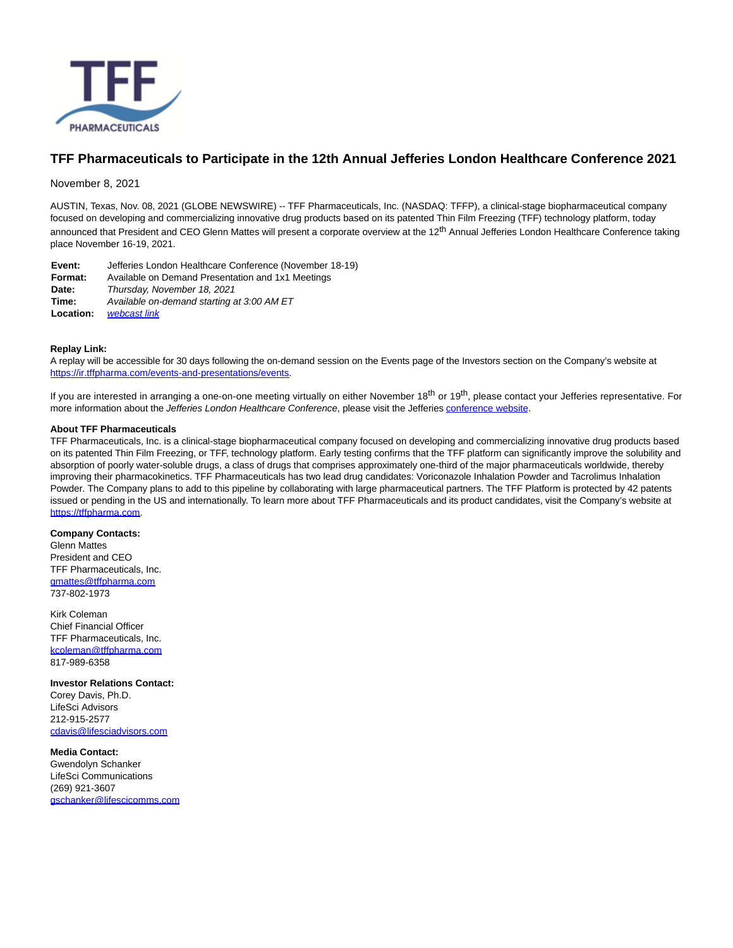

## **TFF Pharmaceuticals to Participate in the 12th Annual Jefferies London Healthcare Conference 2021**

November 8, 2021

AUSTIN, Texas, Nov. 08, 2021 (GLOBE NEWSWIRE) -- TFF Pharmaceuticals, Inc. (NASDAQ: TFFP), a clinical-stage biopharmaceutical company focused on developing and commercializing innovative drug products based on its patented Thin Film Freezing (TFF) technology platform, today announced that President and CEO Glenn Mattes will present a corporate overview at the 12<sup>th</sup> Annual Jefferies London Healthcare Conference taking place November 16-19, 2021.

| Jefferies London Healthcare Conference (November 18-19) |
|---------------------------------------------------------|
| Available on Demand Presentation and 1x1 Meetings       |
| Thursday, November 18, 2021                             |
| Available on-demand starting at 3:00 AM ET              |
| webcast link                                            |
|                                                         |

## **Replay Link:**

A replay will be accessible for 30 days following the on-demand session on the Events page of the Investors section on the Company's website at [https://ir.tffpharma.com/events-and-presentations/events.](https://www.globenewswire.com/Tracker?data=a0q_PuGu7x--BNjHMTHSQSdWnGqp4TdipBSN-EfUfPVQDreWXlr2siARkhybKANWRbYgj4-pxt7K3UVkxsRStNIEpbonvokZQfB6mDQOZwM8X1ZXyYQYFA9lMjjXr6H2Au_MMw61r_UE-HEbpCXa9LyTOVcj1hcG6Em1ghz0uaoWcaUJf2Z8yiOM5SMjMxsG)

If you are interested in arranging a one-on-one meeting virtually on either November 18<sup>th</sup> or 19<sup>th</sup>, please contact your Jefferies representative. For more information about the Jefferies London Healthcare Conference, please visit the Jefferies [conference website.](https://www.globenewswire.com/Tracker?data=JzWCI_xNTjo3oDWVkYsZ_lrspl1ttH9MMun9j3vycy5YuPmMY_6Rn2unNYiWyhxZ_U5MIzvvmmTpdybhz6gHEGOGs259NETNAcCHYCZrBUSlO0hkN-D_MiwLC5P8spJrMVC9hsZADPe_BVdK4X8TAdQthnbnUpTKU5BXyfnBmow=)

## **About TFF Pharmaceuticals**

TFF Pharmaceuticals, Inc. is a clinical-stage biopharmaceutical company focused on developing and commercializing innovative drug products based on its patented Thin Film Freezing, or TFF, technology platform. Early testing confirms that the TFF platform can significantly improve the solubility and absorption of poorly water-soluble drugs, a class of drugs that comprises approximately one-third of the major pharmaceuticals worldwide, thereby improving their pharmacokinetics. TFF Pharmaceuticals has two lead drug candidates: Voriconazole Inhalation Powder and Tacrolimus Inhalation Powder. The Company plans to add to this pipeline by collaborating with large pharmaceutical partners. The TFF Platform is protected by 42 patents issued or pending in the US and internationally. To learn more about TFF Pharmaceuticals and its product candidates, visit the Company's website at [https://tffpharma.com.](https://www.globenewswire.com/Tracker?data=a0q_PuGu7x--BNjHMTHSQah10g9_Wno8f2cxmekqCeb0RMIvIyzsQEfvQDq80kP7GW6DT9wH2q9a53WoUryI4w==)

**Company Contacts:** Glenn Mattes President and CEO TFF Pharmaceuticals, Inc. [gmattes@tffpharma.com](https://www.globenewswire.com/Tracker?data=c_tFPXarxdScp8Jb2OYix2iIuQOSrExC59NDNg7chADdNCQnNi_J-RytIlX-5oN31_Rrc4zMp8RyqYiWCanfUHf7r8p-ZoPJbBkyka98cp0=) 737-802-1973

Kirk Coleman Chief Financial Officer TFF Pharmaceuticals, Inc. [kcoleman@tffpharma.com](https://www.globenewswire.com/Tracker?data=4qIoJGBPZB-_b8AafOl6cx4VCnN30F43hOQIu9U6R7i1Xv87lLlF44QQ22bcKJH_HZDAAQBn_Xk-iTWgXuM-40Tn8frx8-tdJY09nJgS_Cc=) 817-989-6358

**Investor Relations Contact:** Corey Davis, Ph.D. LifeSci Advisors 212-915-2577 [cdavis@lifesciadvisors.com](https://www.globenewswire.com/Tracker?data=_3r-BcEW-kO235d6fq1Z7JEEnZeG4vLLQMDhl3Z7yrSfyH0yMgU6Q-1gFc5Y-sQb1hST8ibzTg8c6xhw7D0Hb8bascAGMeozCphiaMRA236WXm-a80vqVzdZyKBD51ST)

**Media Contact:** Gwendolyn Schanker LifeSci Communications (269) 921-3607 [gschanker@lifescicomms.com](https://www.globenewswire.com/Tracker?data=rugJzbSXMbqjba1N6qNCLA2TidYUiZHMB6telEbs0LPE9thP1G9iVVQyyFP4VB-ZzgqZwY9goCaXg86St_JERWkdWpJl1BkFhiC4AYD_MrP4dBYc9ryD6FXbKxvLaIWG)